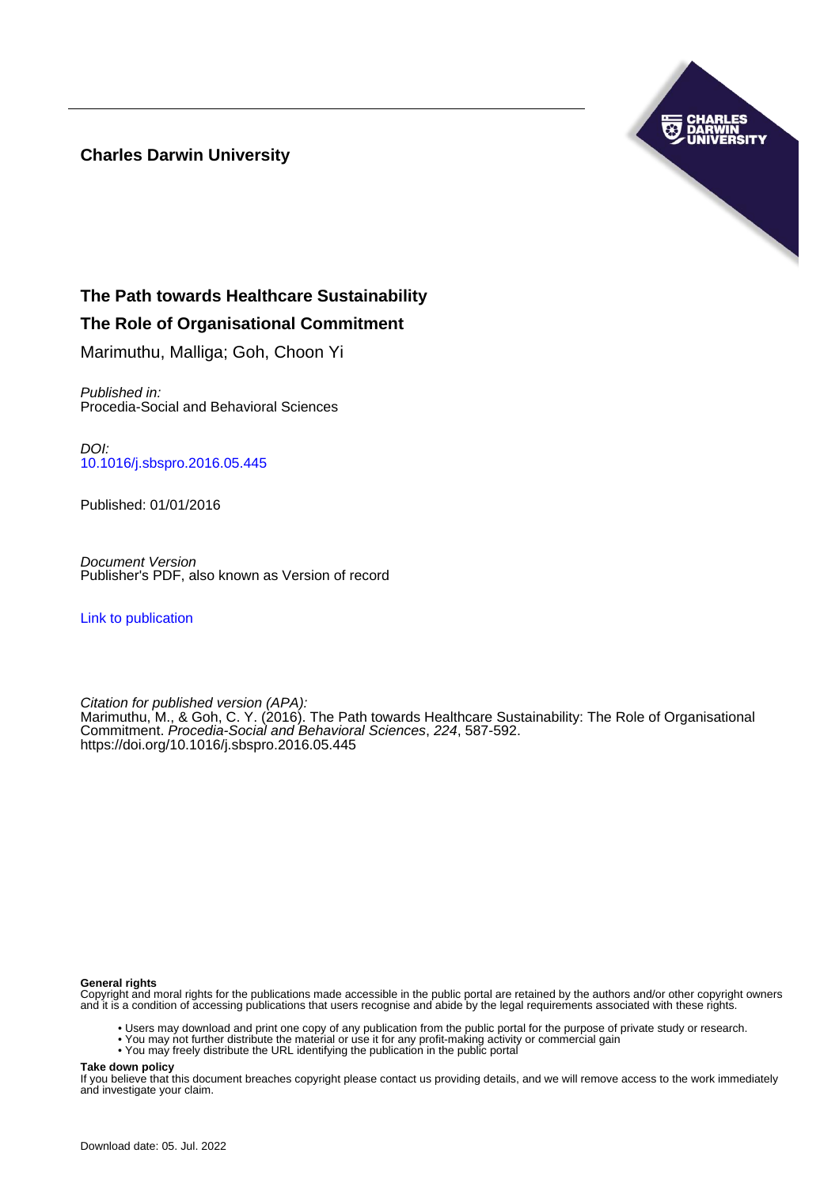## **Charles Darwin University**



# **The Path towards Healthcare Sustainability**

## **The Role of Organisational Commitment**

Marimuthu, Malliga; Goh, Choon Yi

Published in: Procedia-Social and Behavioral Sciences

DOI: [10.1016/j.sbspro.2016.05.445](https://doi.org/10.1016/j.sbspro.2016.05.445)

Published: 01/01/2016

Document Version Publisher's PDF, also known as Version of record

[Link to publication](https://researchers.cdu.edu.au/en/publications/11279301-37a9-4b92-9dd8-9d00882da247)

Citation for published version (APA): Marimuthu, M., & Goh, C. Y. (2016). The Path towards Healthcare Sustainability: The Role of Organisational Commitment. Procedia-Social and Behavioral Sciences, 224, 587-592. <https://doi.org/10.1016/j.sbspro.2016.05.445>

### **General rights**

Copyright and moral rights for the publications made accessible in the public portal are retained by the authors and/or other copyright owners and it is a condition of accessing publications that users recognise and abide by the legal requirements associated with these rights.

- Users may download and print one copy of any publication from the public portal for the purpose of private study or research.
- You may not further distribute the material or use it for any profit-making activity or commercial gain
- You may freely distribute the URL identifying the publication in the public portal

**Take down policy**

If you believe that this document breaches copyright please contact us providing details, and we will remove access to the work immediately and investigate your claim.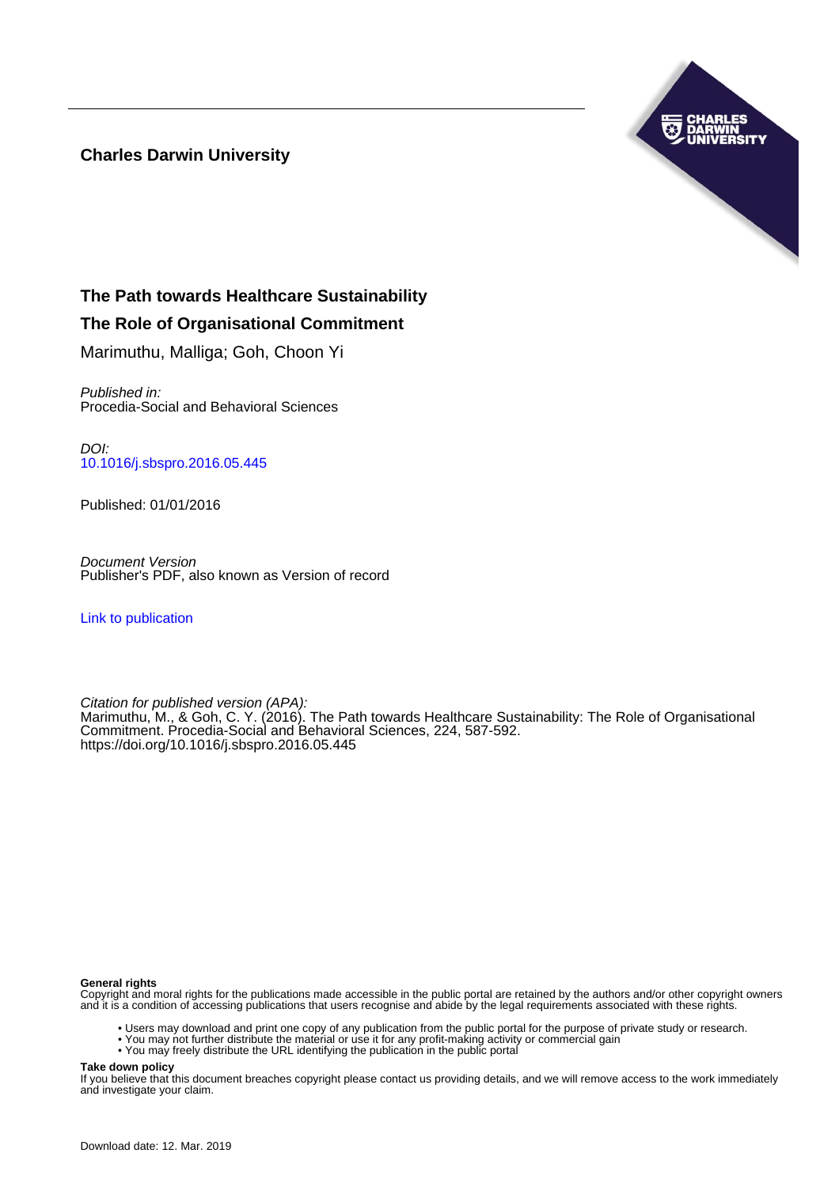## **Charles Darwin University**



# **The Path towards Healthcare Sustainability**

## **The Role of Organisational Commitment**

Marimuthu, Malliga; Goh, Choon Yi

Published in: Procedia-Social and Behavioral Sciences

DOI: [10.1016/j.sbspro.2016.05.445](https://doi.org/10.1016/j.sbspro.2016.05.445)

Published: 01/01/2016

Document Version Publisher's PDF, also known as Version of record

[Link to publication](https://researchers.cdu.edu.au/en/publications/11279301-37a9-4b92-9dd8-9d00882da247)

Citation for published version (APA): Marimuthu, M., & Goh, C. Y. (2016). The Path towards Healthcare Sustainability: The Role of Organisational Commitment. Procedia-Social and Behavioral Sciences, 224, 587-592. https://doi.org/10.1016/j.sbspro.2016.05.445

### **General rights**

Copyright and moral rights for the publications made accessible in the public portal are retained by the authors and/or other copyright owners and it is a condition of accessing publications that users recognise and abide by the legal requirements associated with these rights.

- Users may download and print one copy of any publication from the public portal for the purpose of private study or research.
- You may not further distribute the material or use it for any profit-making activity or commercial gain
- You may freely distribute the URL identifying the publication in the public portal

**Take down policy**

If you believe that this document breaches copyright please contact us providing details, and we will remove access to the work immediately and investigate your claim.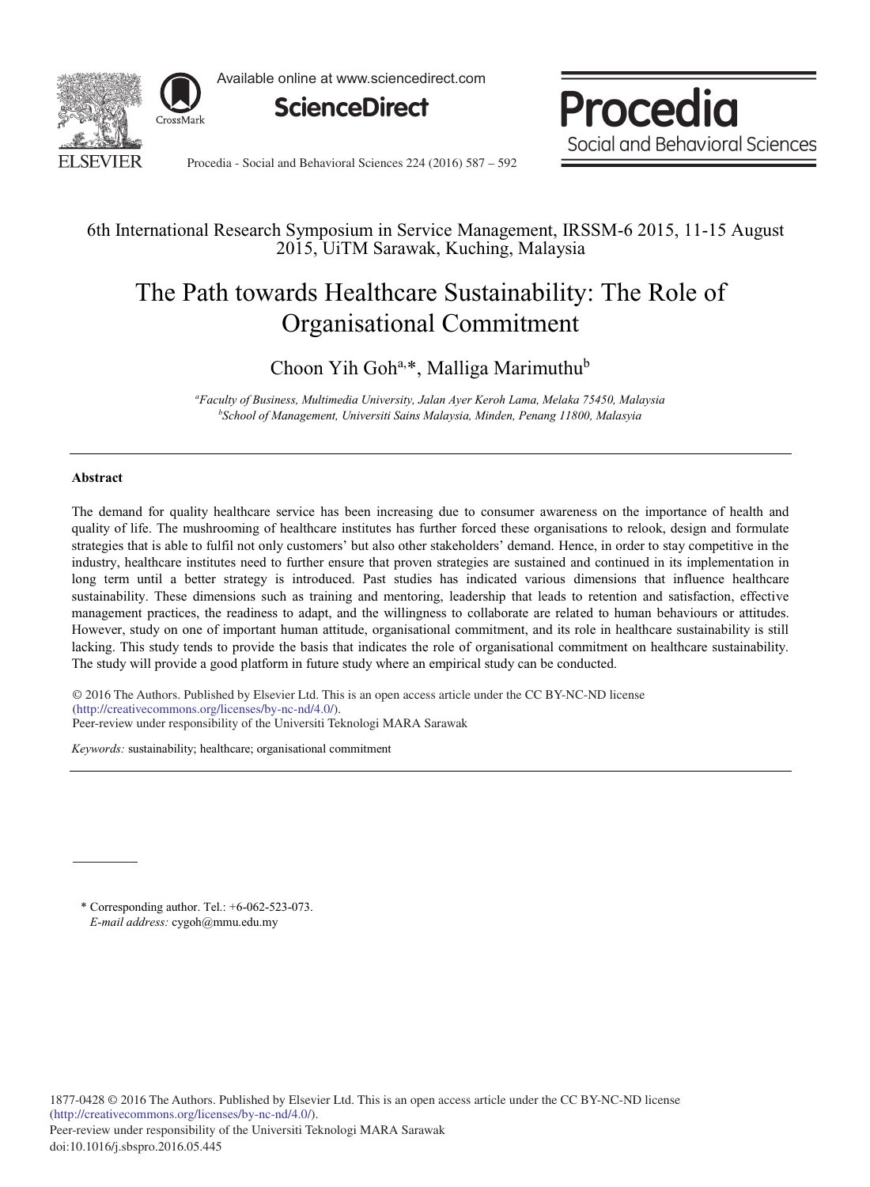

Available online at www.sciencedirect.com



Procedia Social and Behavioral Sciences

Procedia - Social and Behavioral Sciences 224 (2016) 587 – 592

### 6th International Research Symposium in Service Management, IRSSM-6 2015, 11-15 August 2015, UiTM Sarawak, Kuching, Malaysia

# The Path towards Healthcare Sustainability: The Role of Organisational Commitment

## Choon Yih Goh<sup>a,\*</sup>, Malliga Marimuthu<sup>b</sup>

*a Faculty of Business, Multimedia University, Jalan Ayer Keroh Lama, Melaka 75450, Malaysia b School of Management, Universiti Sains Malaysia, Minden, Penang 11800, Malasyia* 

### **Abstract**

The demand for quality healthcare service has been increasing due to consumer awareness on the importance of health and quality of life. The mushrooming of healthcare institutes has further forced these organisations to relook, design and formulate strategies that is able to fulfil not only customers' but also other stakeholders' demand. Hence, in order to stay competitive in the industry, healthcare institutes need to further ensure that proven strategies are sustained and continued in its implementation in long term until a better strategy is introduced. Past studies has indicated various dimensions that influence healthcare sustainability. These dimensions such as training and mentoring, leadership that leads to retention and satisfaction, effective management practices, the readiness to adapt, and the willingness to collaborate are related to human behaviours or attitudes. However, study on one of important human attitude, organisational commitment, and its role in healthcare sustainability is still lacking. This study tends to provide the basis that indicates the role of organisational commitment on healthcare sustainability. The study will provide a good platform in future study where an empirical study can be conducted.

© 2016 The Authors. Published by Elsevier Ltd. © 2016 The Authors. Published by Elsevier Ltd. This is an open access article under the CC BY-NC-ND license Peer-review under responsibility of Universiti Teknologi MARA Sarawak. Peer-review under responsibility of the Universiti Teknologi MARA Sarawak(http://creativecommons.org/licenses/by-nc-nd/4.0/).

*Keywords:* sustainability; healthcare; organisational commitment

\* Corresponding author. Tel.: +6-062-523-073. *E-mail address:* cygoh@mmu.edu.my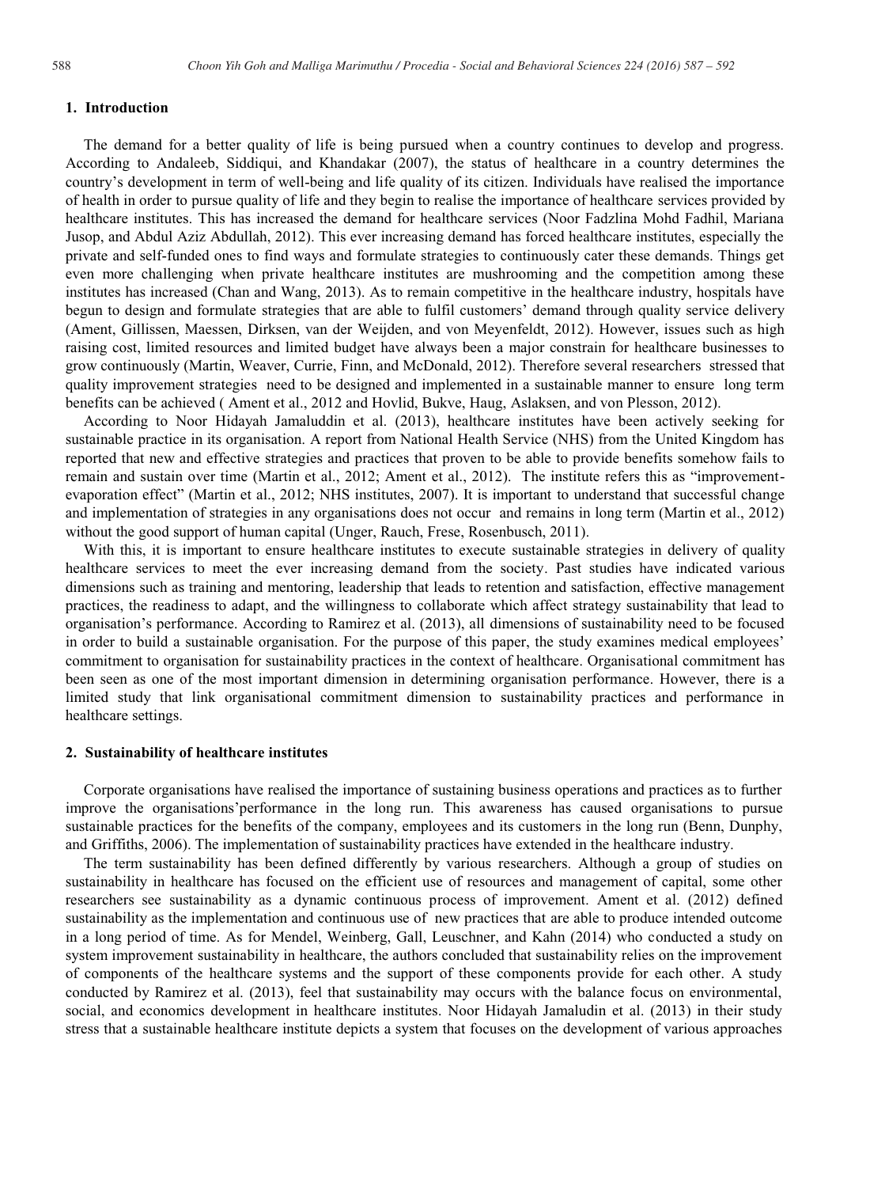### **1. Introduction**

The demand for a better quality of life is being pursued when a country continues to develop and progress. According to Andaleeb, Siddiqui, and Khandakar (2007), the status of healthcare in a country determines the country's development in term of well-being and life quality of its citizen. Individuals have realised the importance of health in order to pursue quality of life and they begin to realise the importance of healthcare services provided by healthcare institutes. This has increased the demand for healthcare services (Noor Fadzlina Mohd Fadhil, Mariana Jusop, and Abdul Aziz Abdullah, 2012). This ever increasing demand has forced healthcare institutes, especially the private and self-funded ones to find ways and formulate strategies to continuously cater these demands. Things get even more challenging when private healthcare institutes are mushrooming and the competition among these institutes has increased (Chan and Wang, 2013). As to remain competitive in the healthcare industry, hospitals have begun to design and formulate strategies that are able to fulfil customers' demand through quality service delivery (Ament, Gillissen, Maessen, Dirksen, van der Weijden, and von Meyenfeldt, 2012). However, issues such as high raising cost, limited resources and limited budget have always been a major constrain for healthcare businesses to grow continuously (Martin, Weaver, Currie, Finn, and McDonald, 2012). Therefore several researchers stressed that quality improvement strategies need to be designed and implemented in a sustainable manner to ensure long term benefits can be achieved ( Ament et al., 2012 and Hovlid, Bukve, Haug, Aslaksen, and von Plesson, 2012).

According to Noor Hidayah Jamaluddin et al. (2013), healthcare institutes have been actively seeking for sustainable practice in its organisation. A report from National Health Service (NHS) from the United Kingdom has reported that new and effective strategies and practices that proven to be able to provide benefits somehow fails to remain and sustain over time (Martin et al., 2012; Ament et al., 2012). The institute refers this as "improvementevaporation effect" (Martin et al., 2012; NHS institutes, 2007). It is important to understand that successful change and implementation of strategies in any organisations does not occur and remains in long term (Martin et al., 2012) without the good support of human capital (Unger, Rauch, Frese, Rosenbusch, 2011).

With this, it is important to ensure healthcare institutes to execute sustainable strategies in delivery of quality healthcare services to meet the ever increasing demand from the society. Past studies have indicated various dimensions such as training and mentoring, leadership that leads to retention and satisfaction, effective management practices, the readiness to adapt, and the willingness to collaborate which affect strategy sustainability that lead to organisation's performance. According to Ramirez et al. (2013), all dimensions of sustainability need to be focused in order to build a sustainable organisation. For the purpose of this paper, the study examines medical employees' commitment to organisation for sustainability practices in the context of healthcare. Organisational commitment has been seen as one of the most important dimension in determining organisation performance. However, there is a limited study that link organisational commitment dimension to sustainability practices and performance in healthcare settings.

### **2. Sustainability of healthcare institutes**

Corporate organisations have realised the importance of sustaining business operations and practices as to further improve the organisations'performance in the long run. This awareness has caused organisations to pursue sustainable practices for the benefits of the company, employees and its customers in the long run (Benn, Dunphy, and Griffiths, 2006). The implementation of sustainability practices have extended in the healthcare industry.

The term sustainability has been defined differently by various researchers. Although a group of studies on sustainability in healthcare has focused on the efficient use of resources and management of capital, some other researchers see sustainability as a dynamic continuous process of improvement. Ament et al. (2012) defined sustainability as the implementation and continuous use of new practices that are able to produce intended outcome in a long period of time. As for Mendel, Weinberg, Gall, Leuschner, and Kahn (2014) who conducted a study on system improvement sustainability in healthcare, the authors concluded that sustainability relies on the improvement of components of the healthcare systems and the support of these components provide for each other. A study conducted by Ramirez et al. (2013), feel that sustainability may occurs with the balance focus on environmental, social, and economics development in healthcare institutes. Noor Hidayah Jamaludin et al. (2013) in their study stress that a sustainable healthcare institute depicts a system that focuses on the development of various approaches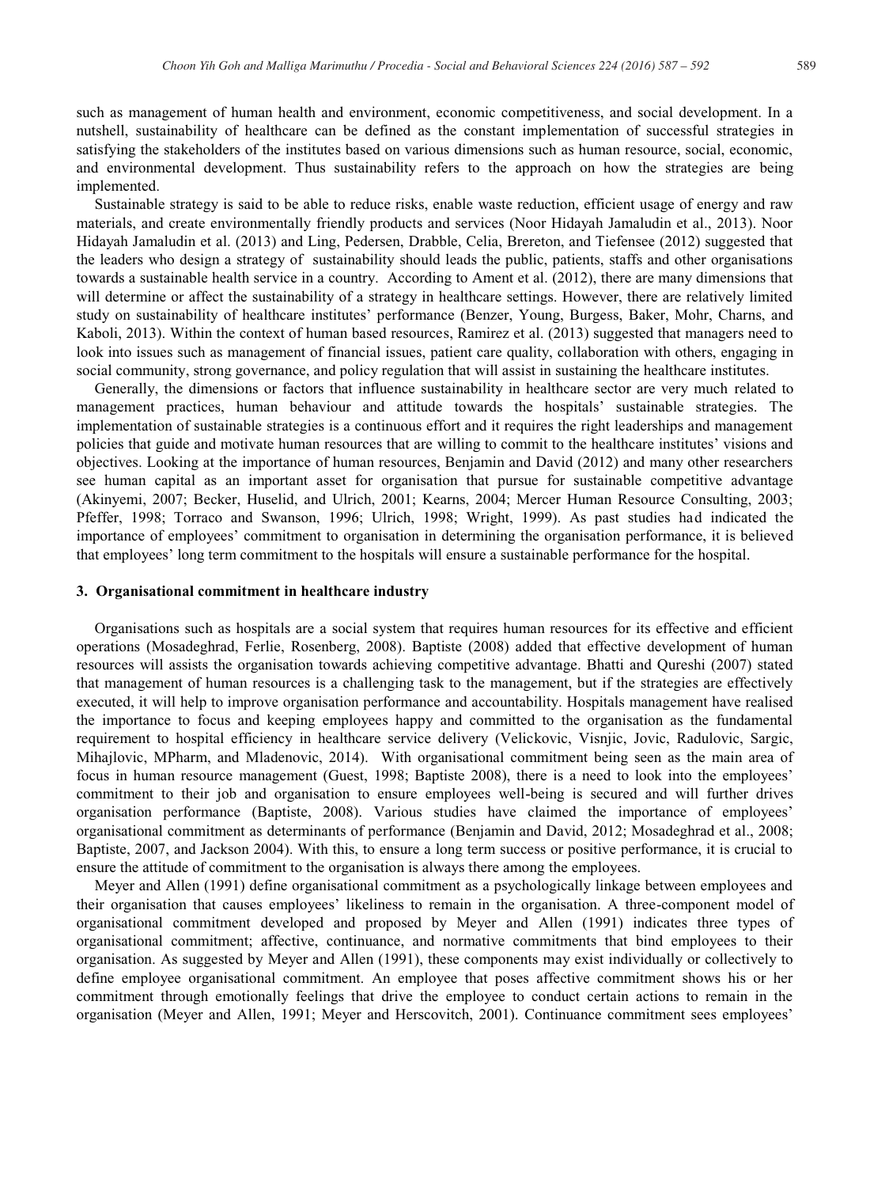such as management of human health and environment, economic competitiveness, and social development. In a nutshell, sustainability of healthcare can be defined as the constant implementation of successful strategies in satisfying the stakeholders of the institutes based on various dimensions such as human resource, social, economic, and environmental development. Thus sustainability refers to the approach on how the strategies are being implemented.

Sustainable strategy is said to be able to reduce risks, enable waste reduction, efficient usage of energy and raw materials, and create environmentally friendly products and services (Noor Hidayah Jamaludin et al., 2013). Noor Hidayah Jamaludin et al. (2013) and Ling, Pedersen, Drabble, Celia, Brereton, and Tiefensee (2012) suggested that the leaders who design a strategy of sustainability should leads the public, patients, staffs and other organisations towards a sustainable health service in a country. According to Ament et al. (2012), there are many dimensions that will determine or affect the sustainability of a strategy in healthcare settings. However, there are relatively limited study on sustainability of healthcare institutes' performance (Benzer, Young, Burgess, Baker, Mohr, Charns, and Kaboli, 2013). Within the context of human based resources, Ramirez et al. (2013) suggested that managers need to look into issues such as management of financial issues, patient care quality, collaboration with others, engaging in social community, strong governance, and policy regulation that will assist in sustaining the healthcare institutes.

Generally, the dimensions or factors that influence sustainability in healthcare sector are very much related to management practices, human behaviour and attitude towards the hospitals' sustainable strategies. The implementation of sustainable strategies is a continuous effort and it requires the right leaderships and management policies that guide and motivate human resources that are willing to commit to the healthcare institutes' visions and objectives. Looking at the importance of human resources, Benjamin and David (2012) and many other researchers see human capital as an important asset for organisation that pursue for sustainable competitive advantage (Akinyemi, 2007; Becker, Huselid, and Ulrich, 2001; Kearns, 2004; Mercer Human Resource Consulting, 2003; Pfeffer, 1998; Torraco and Swanson, 1996; Ulrich, 1998; Wright, 1999). As past studies had indicated the importance of employees' commitment to organisation in determining the organisation performance, it is believed that employees' long term commitment to the hospitals will ensure a sustainable performance for the hospital.

### **3. Organisational commitment in healthcare industry**

Organisations such as hospitals are a social system that requires human resources for its effective and efficient operations (Mosadeghrad, Ferlie, Rosenberg, 2008). Baptiste (2008) added that effective development of human resources will assists the organisation towards achieving competitive advantage. Bhatti and Qureshi (2007) stated that management of human resources is a challenging task to the management, but if the strategies are effectively executed, it will help to improve organisation performance and accountability. Hospitals management have realised the importance to focus and keeping employees happy and committed to the organisation as the fundamental requirement to hospital efficiency in healthcare service delivery (Velickovic, Visnjic, Jovic, Radulovic, Sargic, Mihajlovic, MPharm, and Mladenovic, 2014). With organisational commitment being seen as the main area of focus in human resource management (Guest, 1998; Baptiste 2008), there is a need to look into the employees' commitment to their job and organisation to ensure employees well-being is secured and will further drives organisation performance (Baptiste, 2008). Various studies have claimed the importance of employees' organisational commitment as determinants of performance (Benjamin and David, 2012; Mosadeghrad et al., 2008; Baptiste, 2007, and Jackson 2004). With this, to ensure a long term success or positive performance, it is crucial to ensure the attitude of commitment to the organisation is always there among the employees.

Meyer and Allen (1991) define organisational commitment as a psychologically linkage between employees and their organisation that causes employees' likeliness to remain in the organisation. A three-component model of organisational commitment developed and proposed by Meyer and Allen (1991) indicates three types of organisational commitment; affective, continuance, and normative commitments that bind employees to their organisation. As suggested by Meyer and Allen (1991), these components may exist individually or collectively to define employee organisational commitment. An employee that poses affective commitment shows his or her commitment through emotionally feelings that drive the employee to conduct certain actions to remain in the organisation (Meyer and Allen, 1991; Meyer and Herscovitch, 2001). Continuance commitment sees employees'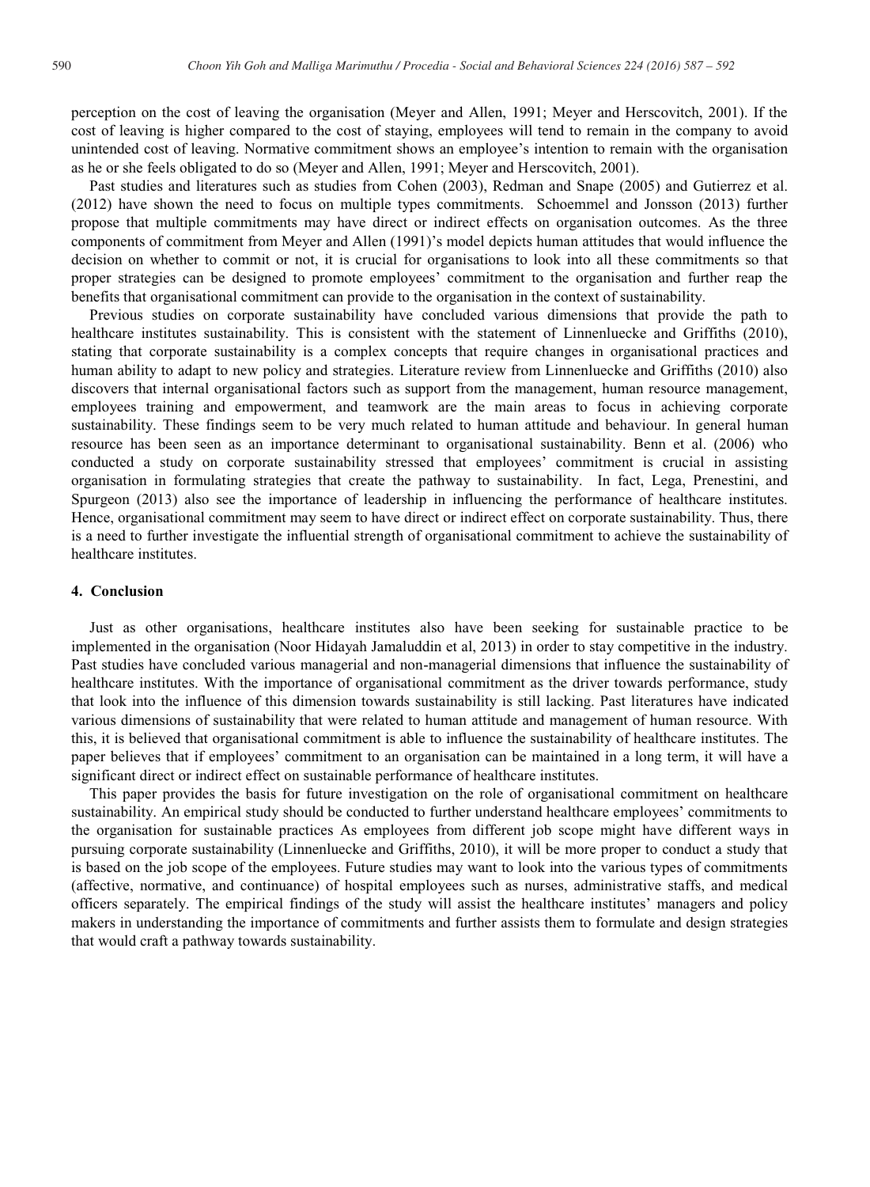perception on the cost of leaving the organisation (Meyer and Allen, 1991; Meyer and Herscovitch, 2001). If the cost of leaving is higher compared to the cost of staying, employees will tend to remain in the company to avoid unintended cost of leaving. Normative commitment shows an employee's intention to remain with the organisation as he or she feels obligated to do so (Meyer and Allen, 1991; Meyer and Herscovitch, 2001).

Past studies and literatures such as studies from Cohen (2003), Redman and Snape (2005) and Gutierrez et al. (2012) have shown the need to focus on multiple types commitments. Schoemmel and Jonsson (2013) further propose that multiple commitments may have direct or indirect effects on organisation outcomes. As the three components of commitment from Meyer and Allen (1991)'s model depicts human attitudes that would influence the decision on whether to commit or not, it is crucial for organisations to look into all these commitments so that proper strategies can be designed to promote employees' commitment to the organisation and further reap the benefits that organisational commitment can provide to the organisation in the context of sustainability.

Previous studies on corporate sustainability have concluded various dimensions that provide the path to healthcare institutes sustainability. This is consistent with the statement of Linnenluecke and Griffiths (2010), stating that corporate sustainability is a complex concepts that require changes in organisational practices and human ability to adapt to new policy and strategies. Literature review from Linnenluecke and Griffiths (2010) also discovers that internal organisational factors such as support from the management, human resource management, employees training and empowerment, and teamwork are the main areas to focus in achieving corporate sustainability. These findings seem to be very much related to human attitude and behaviour. In general human resource has been seen as an importance determinant to organisational sustainability. Benn et al. (2006) who conducted a study on corporate sustainability stressed that employees' commitment is crucial in assisting organisation in formulating strategies that create the pathway to sustainability. In fact, Lega, Prenestini, and Spurgeon (2013) also see the importance of leadership in influencing the performance of healthcare institutes. Hence, organisational commitment may seem to have direct or indirect effect on corporate sustainability. Thus, there is a need to further investigate the influential strength of organisational commitment to achieve the sustainability of healthcare institutes.

### **4. Conclusion**

Just as other organisations, healthcare institutes also have been seeking for sustainable practice to be implemented in the organisation (Noor Hidayah Jamaluddin et al, 2013) in order to stay competitive in the industry. Past studies have concluded various managerial and non-managerial dimensions that influence the sustainability of healthcare institutes. With the importance of organisational commitment as the driver towards performance, study that look into the influence of this dimension towards sustainability is still lacking. Past literatures have indicated various dimensions of sustainability that were related to human attitude and management of human resource. With this, it is believed that organisational commitment is able to influence the sustainability of healthcare institutes. The paper believes that if employees' commitment to an organisation can be maintained in a long term, it will have a significant direct or indirect effect on sustainable performance of healthcare institutes.

This paper provides the basis for future investigation on the role of organisational commitment on healthcare sustainability. An empirical study should be conducted to further understand healthcare employees' commitments to the organisation for sustainable practices As employees from different job scope might have different ways in pursuing corporate sustainability (Linnenluecke and Griffiths, 2010), it will be more proper to conduct a study that is based on the job scope of the employees. Future studies may want to look into the various types of commitments (affective, normative, and continuance) of hospital employees such as nurses, administrative staffs, and medical officers separately. The empirical findings of the study will assist the healthcare institutes' managers and policy makers in understanding the importance of commitments and further assists them to formulate and design strategies that would craft a pathway towards sustainability.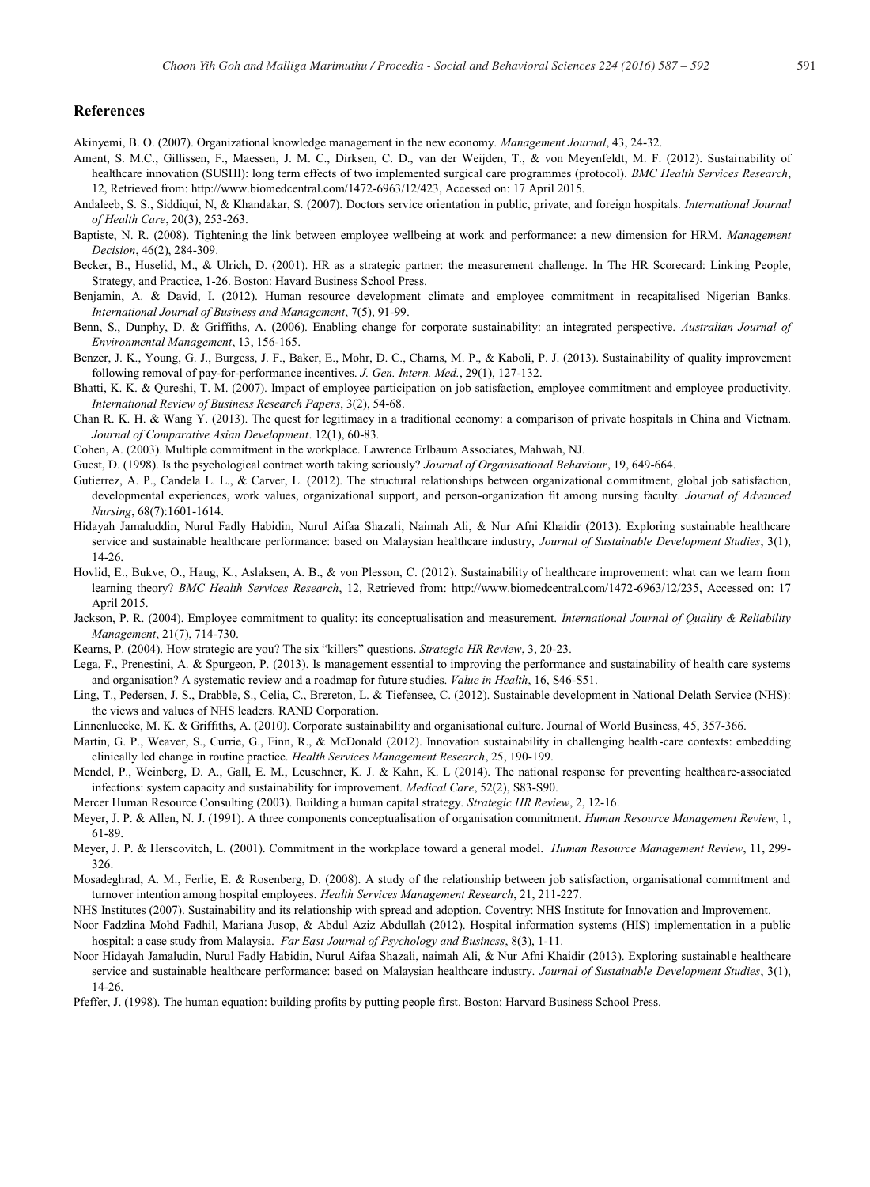#### **References**

- Akinyemi, B. O. (2007). Organizational knowledge management in the new economy. *Management Journal*, 43, 24-32.
- Ament, S. M.C., Gillissen, F., Maessen, J. M. C., Dirksen, C. D., van der Weijden, T., & von Meyenfeldt, M. F. (2012). Sustainability of healthcare innovation (SUSHI): long term effects of two implemented surgical care programmes (protocol). *BMC Health Services Research*, 12, Retrieved from: http://www.biomedcentral.com/1472-6963/12/423, Accessed on: 17 April 2015.
- Andaleeb, S. S., Siddiqui, N, & Khandakar, S. (2007). Doctors service orientation in public, private, and foreign hospitals. *International Journal of Health Care*, 20(3), 253-263.
- Baptiste, N. R. (2008). Tightening the link between employee wellbeing at work and performance: a new dimension for HRM. *Management Decision*, 46(2), 284-309.
- Becker, B., Huselid, M., & Ulrich, D. (2001). HR as a strategic partner: the measurement challenge. In The HR Scorecard: Linking People, Strategy, and Practice, 1-26. Boston: Havard Business School Press.
- Benjamin, A. & David, I. (2012). Human resource development climate and employee commitment in recapitalised Nigerian Banks. *International Journal of Business and Management*, 7(5), 91-99.
- Benn, S., Dunphy, D. & Griffiths, A. (2006). Enabling change for corporate sustainability: an integrated perspective. *Australian Journal of Environmental Management*, 13, 156-165.
- Benzer, J. K., Young, G. J., Burgess, J. F., Baker, E., Mohr, D. C., Charns, M. P., & Kaboli, P. J. (2013). Sustainability of quality improvement following removal of pay-for-performance incentives. *J. Gen. Intern. Med.*, 29(1), 127-132.
- Bhatti, K. K. & Qureshi, T. M. (2007). Impact of employee participation on job satisfaction, employee commitment and employee productivity. *International Review of Business Research Papers*, 3(2), 54-68.
- Chan R. K. H. & Wang Y. (2013). The quest for legitimacy in a traditional economy: a comparison of private hospitals in China and Vietnam. *Journal of Comparative Asian Development*. 12(1), 60-83.
- Cohen, A. (2003). Multiple commitment in the workplace. Lawrence Erlbaum Associates, Mahwah, NJ.
- Guest, D. (1998). Is the psychological contract worth taking seriously? *Journal of Organisational Behaviour*, 19, 649-664.
- Gutierrez, A. P., Candela L. L., & Carver, L. (2012). The structural relationships between organizational commitment, global job satisfaction, developmental experiences, work values, organizational support, and person-organization fit among nursing faculty. *Journal of Advanced Nursing*, 68(7):1601-1614.
- Hidayah Jamaluddin, Nurul Fadly Habidin, Nurul Aifaa Shazali, Naimah Ali, & Nur Afni Khaidir (2013). Exploring sustainable healthcare service and sustainable healthcare performance: based on Malaysian healthcare industry, *Journal of Sustainable Development Studies*, 3(1), 14-26.
- Hovlid, E., Bukve, O., Haug, K., Aslaksen, A. B., & von Plesson, C. (2012). Sustainability of healthcare improvement: what can we learn from learning theory? *BMC Health Services Research*, 12, Retrieved from: http://www.biomedcentral.com/1472-6963/12/235, Accessed on: 17 April 2015.
- Jackson, P. R. (2004). Employee commitment to quality: its conceptualisation and measurement. *International Journal of Quality & Reliability Management*, 21(7), 714-730.
- Kearns, P. (2004). How strategic are you? The six "killers" questions. *Strategic HR Review*, 3, 20-23.
- Lega, F., Prenestini, A. & Spurgeon, P. (2013). Is management essential to improving the performance and sustainability of health care systems and organisation? A systematic review and a roadmap for future studies. *Value in Health*, 16, S46-S51.
- Ling, T., Pedersen, J. S., Drabble, S., Celia, C., Brereton, L. & Tiefensee, C. (2012). Sustainable development in National Delath Service (NHS): the views and values of NHS leaders. RAND Corporation.
- Linnenluecke, M. K. & Griffiths, A. (2010). Corporate sustainability and organisational culture. Journal of World Business, 45, 357-366.
- Martin, G. P., Weaver, S., Currie, G., Finn, R., & McDonald (2012). Innovation sustainability in challenging health-care contexts: embedding clinically led change in routine practice. *Health Services Management Research*, 25, 190-199.
- Mendel, P., Weinberg, D. A., Gall, E. M., Leuschner, K. J. & Kahn, K. L (2014). The national response for preventing healthcare-associated infections: system capacity and sustainability for improvement. *Medical Care*, 52(2), S83-S90.
- Mercer Human Resource Consulting (2003). Building a human capital strategy. *Strategic HR Review*, 2, 12-16.
- Meyer, J. P. & Allen, N. J. (1991). A three components conceptualisation of organisation commitment. *Human Resource Management Review*, 1, 61-89.
- Meyer, J. P. & Herscovitch, L. (2001). Commitment in the workplace toward a general model. *Human Resource Management Review*, 11, 299- 326.
- Mosadeghrad, A. M., Ferlie, E. & Rosenberg, D. (2008). A study of the relationship between job satisfaction, organisational commitment and turnover intention among hospital employees. *Health Services Management Research*, 21, 211-227.
- NHS Institutes (2007). Sustainability and its relationship with spread and adoption. Coventry: NHS Institute for Innovation and Improvement.
- Noor Fadzlina Mohd Fadhil, Mariana Jusop, & Abdul Aziz Abdullah (2012). Hospital information systems (HIS) implementation in a public hospital: a case study from Malaysia. *Far East Journal of Psychology and Business*, 8(3), 1-11.
- Noor Hidayah Jamaludin, Nurul Fadly Habidin, Nurul Aifaa Shazali, naimah Ali, & Nur Afni Khaidir (2013). Exploring sustainable healthcare service and sustainable healthcare performance: based on Malaysian healthcare industry. *Journal of Sustainable Development Studies*, 3(1), 14-26.
- Pfeffer, J. (1998). The human equation: building profits by putting people first. Boston: Harvard Business School Press.